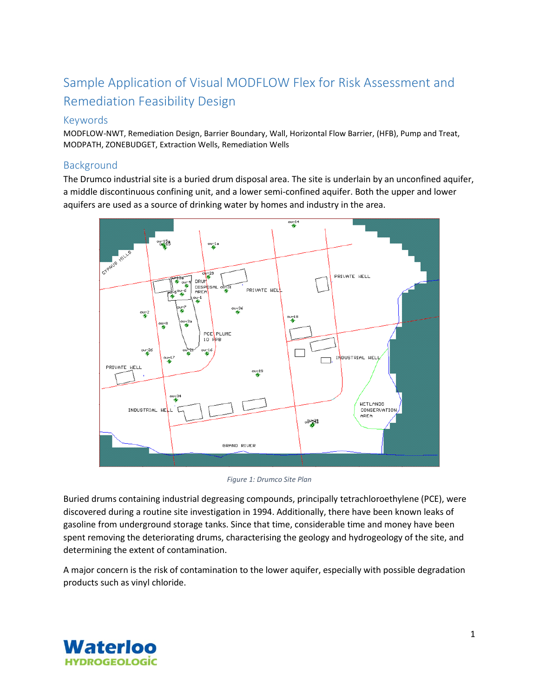# Sample Application of Visual MODFLOW Flex for Risk Assessment and Remediation Feasibility Design

## Keywords

MODFLOW-NWT, Remediation Design, Barrier Boundary, Wall, Horizontal Flow Barrier, (HFB), Pump and Treat, MODPATH, ZONEBUDGET, Extraction Wells, Remediation Wells

## Background

The Drumco industrial site is a buried drum disposal area. The site is underlain by an unconfined aquifer, a middle discontinuous confining unit, and a lower semi-confined aquifer. Both the upper and lower aquifers are used as a source of drinking water by homes and industry in the area.



*Figure 1: Drumco Site Plan*

Buried drums containing industrial degreasing compounds, principally tetrachloroethylene (PCE), were discovered during a routine site investigation in 1994. Additionally, there have been known leaks of gasoline from underground storage tanks. Since that time, considerable time and money have been spent removing the deteriorating drums, characterising the geology and hydrogeology of the site, and determining the extent of contamination.

A major concern is the risk of contamination to the lower aquifer, especially with possible degradation products such as vinyl chloride.

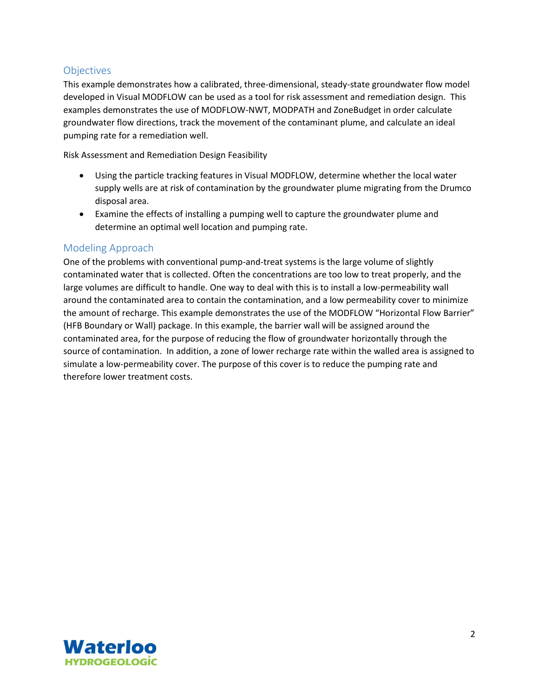## **Objectives**

This example demonstrates how a calibrated, three-dimensional, steady-state groundwater flow model developed in Visual MODFLOW can be used as a tool for risk assessment and remediation design. This examples demonstrates the use of MODFLOW-NWT, MODPATH and ZoneBudget in order calculate groundwater flow directions, track the movement of the contaminant plume, and calculate an ideal pumping rate for a remediation well.

Risk Assessment and Remediation Design Feasibility

- Using the particle tracking features in Visual MODFLOW, determine whether the local water supply wells are at risk of contamination by the groundwater plume migrating from the Drumco disposal area.
- Examine the effects of installing a pumping well to capture the groundwater plume and determine an optimal well location and pumping rate.

## Modeling Approach

One of the problems with conventional pump-and-treat systems is the large volume of slightly contaminated water that is collected. Often the concentrations are too low to treat properly, and the large volumes are difficult to handle. One way to deal with this is to install a low-permeability wall around the contaminated area to contain the contamination, and a low permeability cover to minimize the amount of recharge. This example demonstrates the use of the MODFLOW "Horizontal Flow Barrier" (HFB Boundary or Wall) package. In this example, the barrier wall will be assigned around the contaminated area, for the purpose of reducing the flow of groundwater horizontally through the source of contamination. In addition, a zone of lower recharge rate within the walled area is assigned to simulate a low-permeability cover. The purpose of this cover is to reduce the pumping rate and therefore lower treatment costs.

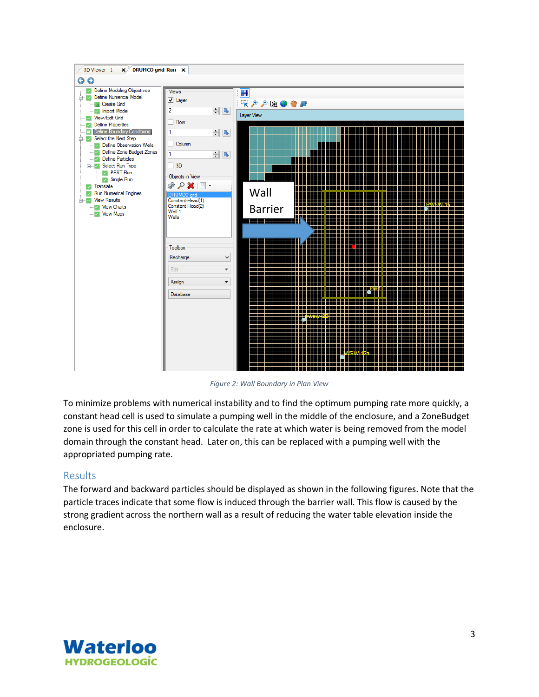

*Figure 2: Wall Boundary in Plan View*

To minimize problems with numerical instability and to find the optimum pumping rate more quickly, a constant head cell is used to simulate a pumping well in the middle of the enclosure, and a ZoneBudget zone is used for this cell in order to calculate the rate at which water is being removed from the model domain through the constant head. Later on, this can be replaced with a pumping well with the appropriated pumping rate.

#### Results

The forward and backward particles should be displayed as shown in the following figures. Note that the particle traces indicate that some flow is induced through the barrier wall. This flow is caused by the strong gradient across the northern wall as a result of reducing the water table elevation inside the enclosure.

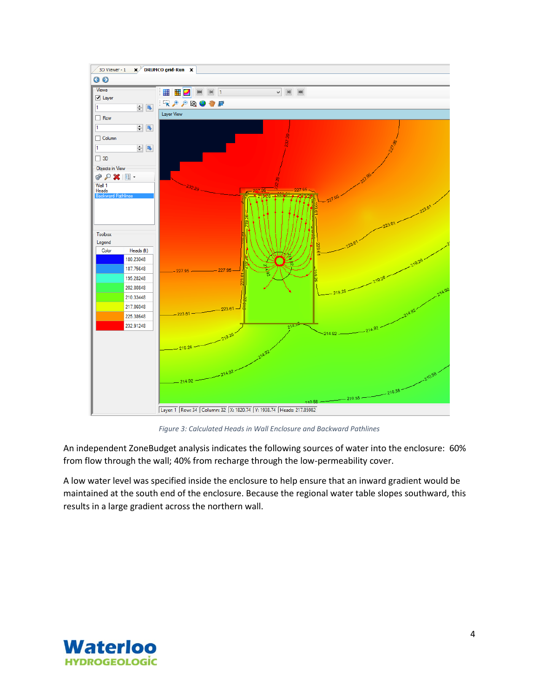

*Figure 3: Calculated Heads in Wall Enclosure and Backward Pathlines*

An independent ZoneBudget analysis indicates the following sources of water into the enclosure: 60% from flow through the wall; 40% from recharge through the low-permeability cover.

A low water level was specified inside the enclosure to help ensure that an inward gradient would be maintained at the south end of the enclosure. Because the regional water table slopes southward, this results in a large gradient across the northern wall.

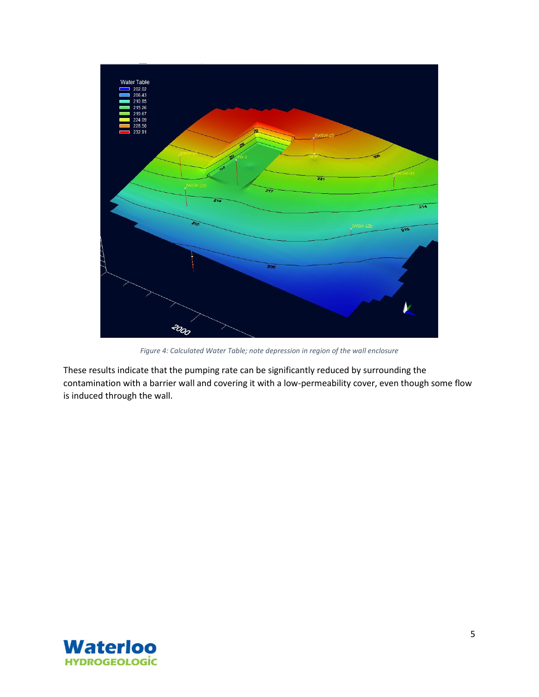

*Figure 4: Calculated Water Table; note depression in region of the wall enclosure*

These results indicate that the pumping rate can be significantly reduced by surrounding the contamination with a barrier wall and covering it with a low-permeability cover, even though some flow is induced through the wall.